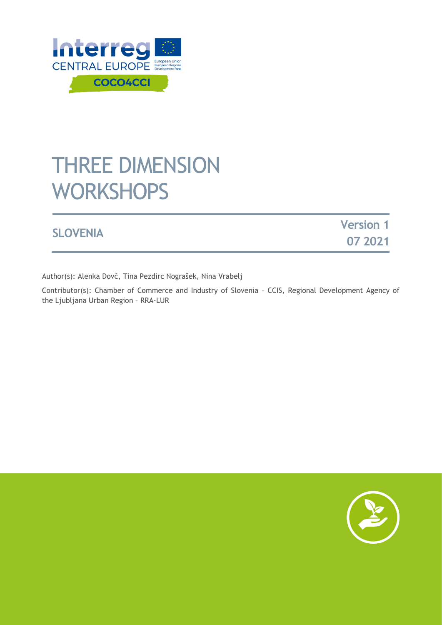

# THREE DIMENSION **WORKSHOPS**

|                 | <b>Version 1</b> |
|-----------------|------------------|
| <b>SLOVENIA</b> | 07 2021          |

Author(s): Alenka Dovč, Tina Pezdirc Nograšek, Nina Vrabelj

Contributor(s): Chamber of Commerce and Industry of Slovenia – CCIS, [Regional Development Agency of](https://www.interreg-central.eu/Content.Node/COCO4CCI/Regionalna-razvojna-agencija---Ljubljanske-urbane-regije-.html)  [the Ljubljana Urban Region](https://www.interreg-central.eu/Content.Node/COCO4CCI/Regionalna-razvojna-agencija---Ljubljanske-urbane-regije-.html) – RRA-LUR

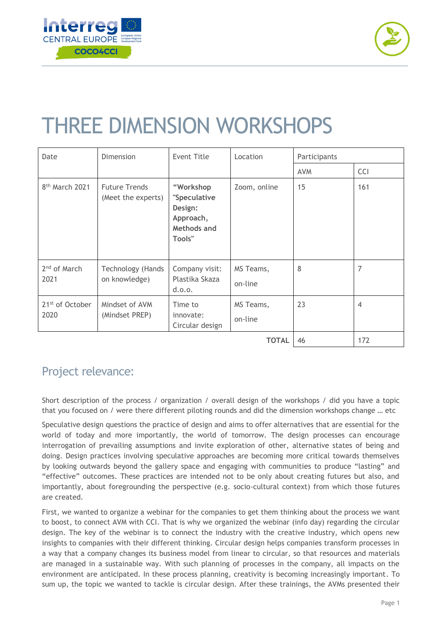



# THREE DIMENSION WORKSHOPS

| Date                                | Dimension                                  | <b>Event Title</b>                                                         | Location             | Participants |                |
|-------------------------------------|--------------------------------------------|----------------------------------------------------------------------------|----------------------|--------------|----------------|
|                                     |                                            |                                                                            |                      | <b>AVM</b>   | <b>CCI</b>     |
| 8 <sup>th</sup> March 2021          | <b>Future Trends</b><br>(Meet the experts) | "Workshop<br>"Speculative<br>Design:<br>Approach,<br>Methods and<br>Tools" | Zoom, online         | 15           | 161            |
| 2 <sup>nd</sup> of March<br>2021    | Technology (Hands<br>on knowledge)         | Company visit:<br>Plastika Skaza<br>d.0.0.                                 | MS Teams,<br>on-line | 8            | 7              |
| 21 <sup>st</sup> of October<br>2020 | Mindset of AVM<br>(Mindset PREP)           | Time to<br>innovate:<br>Circular design                                    | MS Teams,<br>on-line | 23           | $\overline{4}$ |
|                                     |                                            |                                                                            | <b>TOTAL</b>         | 46           | 172            |

## Project relevance:

Short description of the process / organization / overall design of the workshops / did you have a topic that you focused on / were there different piloting rounds and did the dimension workshops change … etc

Speculative design questions the practice of design and aims to offer alternatives that are essential for the world of today and more importantly, the world of tomorrow. The design processes can encourage interrogation of prevailing assumptions and invite exploration of other, alternative states of being and doing. Design practices involving speculative approaches are becoming more critical towards themselves by looking outwards beyond the gallery space and engaging with communities to produce "lasting" and "effective" outcomes. These practices are intended not to be only about creating futures but also, and importantly, about foregrounding the perspective (e.g. socio-cultural context) from which those futures are created.

First, we wanted to organize a webinar for the companies to get them thinking about the process we want to boost, to connect AVM with CCI. That is why we organized the webinar (info day) regarding the circular design. The key of the webinar is to connect the industry with the creative industry, which opens new insights to companies with their different thinking. Circular design helps companies transform processes in a way that a company changes its business model from linear to circular, so that resources and materials are managed in a sustainable way. With such planning of processes in the company, all impacts on the environment are anticipated. In these process planning, creativity is becoming increasingly important. To sum up, the topic we wanted to tackle is circular design. After these trainings, the AVMs presented their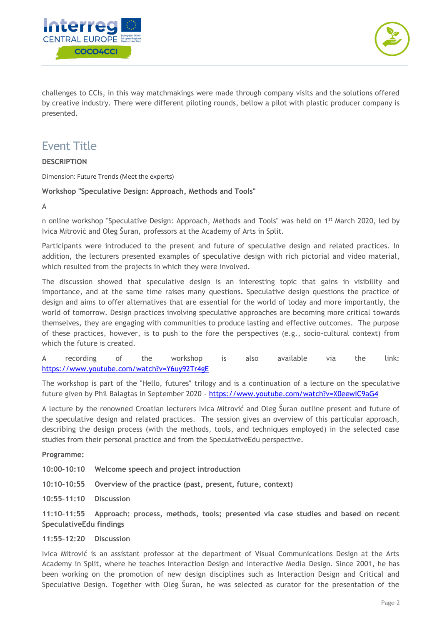



challenges to CCIs, in this way matchmakings were made through company visits and the solutions offered by creative industry. There were different piloting rounds, bellow a pilot with plastic producer company is presented.

## Event Title

#### **DESCRIPTION**

Dimension: Future Trends (Meet the experts)

#### **Workshop "Speculative Design: Approach, Methods and Tools"**

A

n online workshop "Speculative Design: Approach, Methods and Tools" was held on 1<sup>st</sup> March 2020, led by Ivica Mitrović and Oleg Šuran, professors at the Academy of Arts in Split.

Participants were introduced to the present and future of speculative design and related practices. In addition, the lecturers presented examples of speculative design with rich pictorial and video material, which resulted from the projects in which they were involved.

The discussion showed that speculative design is an interesting topic that gains in visibility and importance, and at the same time raises many questions. Speculative design questions the practice of design and aims to offer alternatives that are essential for the world of today and more importantly, the world of tomorrow. Design practices involving speculative approaches are becoming more critical towards themselves, they are engaging with communities to produce lasting and effective outcomes. The purpose of these practices, however, is to push to the fore the perspectives (e.g., socio-cultural context) from which the future is created.

A recording of the workshop is also available via the link: <https://www.youtube.com/watch?v=Y6uy92Tr4gE>

The workshop is part of the "Hello, futures" trilogy and is a continuation of a lecture on the speculative future given by Phil Balagtas in September 2020 - <https://www.youtube.com/watch?v=X0eewIC9aG4>

A lecture by the renowned Croatian lecturers Ivica Mitrović and Oleg Šuran outline present and future of the speculative design and related practices. The session gives an overview of this particular approach, describing the design process (with the methods, tools, and techniques employed) in the selected case studies from their personal practice and from the SpeculativeEdu perspective.

#### **Programme:**

**10:00–10:10 Welcome speech and project introduction**

**10:10–10:55 Overview of the practice (past, present, future, context)**

**10:55–11:10 Discussion**

**11:10–11:55 Approach: process, methods, tools; presented via case studies and based on recent SpeculativeEdu findings**

#### **11:55–12:20 Discussion**

Ivica Mitrović is an assistant professor at the department of Visual Communications Design at the Arts Academy in Split, where he teaches Interaction Design and Interactive Media Design. Since 2001, he has been working on the promotion of new design disciplines such as Interaction Design and Critical and Speculative Design. Together with Oleg Šuran, he was selected as curator for the presentation of the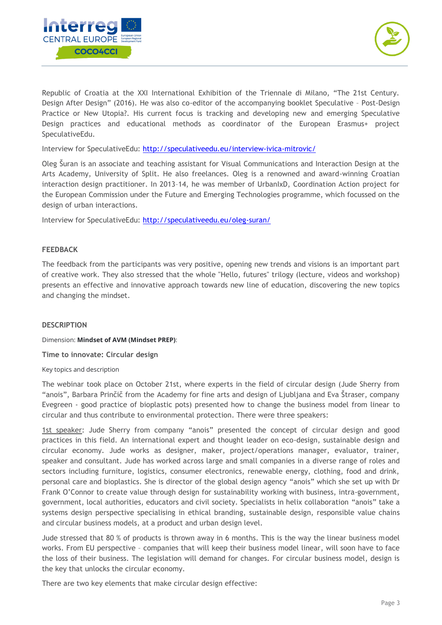



Republic of Croatia at the XXI International Exhibition of the Triennale di Milano, "The 21st Century. Design After Design" (2016). He was also co-editor of the accompanying booklet Speculative – Post-Design Practice or New Utopia?. His current focus is tracking and developing new and emerging Speculative Design practices and educational methods as coordinator of the European Erasmus+ project SpeculativeEdu.

Interview for SpeculativeEdu:<http://speculativeedu.eu/interview-ivica-mitrovic/>

Oleg Šuran is an associate and teaching assistant for Visual Communications and Interaction Design at the Arts Academy, University of Split. He also freelances. Oleg is a renowned and award-winning Croatian interaction design practitioner. In 2013–14, he was member of UrbanIxD, Coordination Action project for the European Commission under the Future and Emerging Technologies programme, which focussed on the design of urban interactions.

Interview for SpeculativeEdu:<http://speculativeedu.eu/oleg-suran/>

#### **FEEDBACK**

The feedback from the participants was very positive, opening new trends and visions is an important part of creative work. They also stressed that the whole "Hello, futures" trilogy (lecture, videos and workshop) presents an effective and innovative approach towards new line of education, discovering the new topics and changing the mindset.

#### **DESCRIPTION**

Dimension: **Mindset of AVM (Mindset PREP)**:

**Time to innovate: Circular design**

Key topics and description

The webinar took place on October 21st, where experts in the field of circular design (Jude Sherry from "anois", Barbara Prinčič from the Academy for fine arts and design of Ljubljana and Eva Štraser, company Evegreen - good practice of bioplastic pots) presented how to change the business model from linear to circular and thus contribute to environmental protection. There were three speakers:

1st speaker: Jude Sherry from company "anois" presented the concept of circular design and good practices in this field. An international expert and thought leader on eco-design, sustainable design and circular economy. Jude works as designer, maker, project/operations manager, evaluator, trainer, speaker and consultant. Jude has worked across large and small companies in a diverse range of roles and sectors including furniture, logistics, consumer electronics, renewable energy, clothing, food and drink, personal care and bioplastics. She is director of the global design agency "anois" which she set up with Dr Frank O'Connor to create value through design for sustainability working with business, intra-government, government, local authorities, educators and civil society. Specialists in helix collaboration "anois" take a systems design perspective specialising in ethical branding, sustainable design, responsible value chains and circular business models, at a product and urban design level.

Jude stressed that 80 % of products is thrown away in 6 months. This is the way the linear business model works. From EU perspective – companies that will keep their business model linear, will soon have to face the loss of their business. The legislation will demand for changes. For circular business model, design is the key that unlocks the circular economy.

There are two key elements that make circular design effective: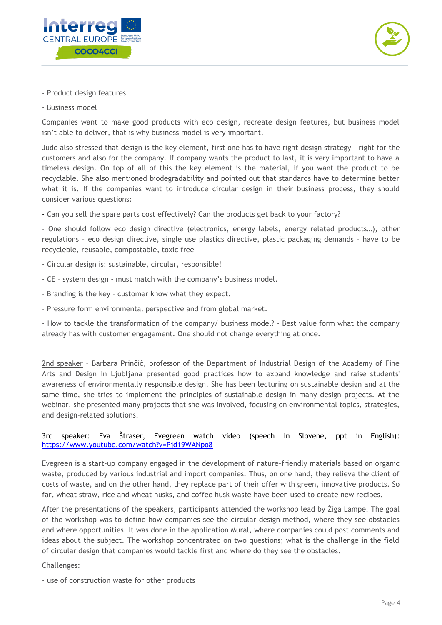



- Product design features
- Business model

Companies want to make good products with eco design, recreate design features, but business model isn't able to deliver, that is why business model is very important.

Jude also stressed that design is the key element, first one has to have right design strategy – right for the customers and also for the company. If company wants the product to last, it is very important to have a timeless design. On top of all of this the key element is the material, if you want the product to be recyclable. She also mentioned biodegradability and pointed out that standards have to determine better what it is. If the companies want to introduce circular design in their business process, they should consider various questions:

- Can you sell the spare parts cost effectively? Can the products get back to your factory?

- One should follow eco design directive (electronics, energy labels, energy related products…), other regulations – eco design directive, single use plastics directive, plastic packaging demands – have to be recycleble, reusable, compostable, toxic free

- Circular design is: sustainable, circular, responsible!
- CE system design must match with the company's business model.
- Branding is the key customer know what they expect.
- Pressure form environmental perspective and from global market.

- How to tackle the transformation of the company/ business model? - Best value form what the company already has with customer engagement. One should not change everything at once.

2nd speaker – Barbara Prinčič, professor of the Department of Industrial Design of the Academy of Fine Arts and Design in Ljubljana presented good practices how to expand knowledge and raise students' awareness of environmentally responsible design. She has been lecturing on sustainable design and at the same time, she tries to implement the principles of sustainable design in many design projects. At the webinar, she presented many projects that she was involved, focusing on environmental topics, strategies, and design-related solutions.

#### 3rd speaker: Eva Štraser, Evegreen watch video (speech in Slovene, ppt in English): <https://www.youtube.com/watch?v=Pjd19WANpo8>

Evegreen is a start-up company engaged in the development of nature-friendly materials based on organic waste, produced by various industrial and import companies. Thus, on one hand, they relieve the client of costs of waste, and on the other hand, they replace part of their offer with green, innovative products. So far, wheat straw, rice and wheat husks, and coffee husk waste have been used to create new recipes.

After the presentations of the speakers, participants attended the workshop lead by Žiga Lampe. The goal of the workshop was to define how companies see the circular design method, where they see obstacles and where opportunities. It was done in the application Mural, where companies could post comments and ideas about the subject. The workshop concentrated on two questions; what is the challenge in the field of circular design that companies would tackle first and where do they see the obstacles.

Challenges:

- use of construction waste for other products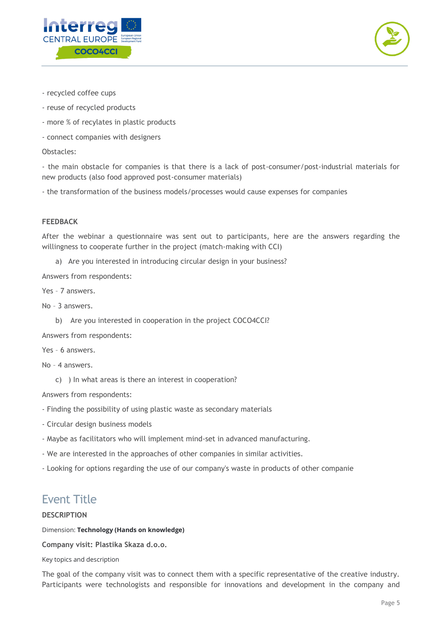



- recycled coffee cups
- reuse of recycled products
- more % of recylates in plastic products
- connect companies with designers

Obstacles:

- the main obstacle for companies is that there is a lack of post-consumer/post-industrial materials for new products (also food approved post-consumer materials)

- the transformation of the business models/processes would cause expenses for companies

#### **FEEDBACK**

After the webinar a questionnaire was sent out to participants, here are the answers regarding the willingness to cooperate further in the project (match-making with CCI)

a) Are you interested in introducing circular design in your business?

Answers from respondents:

Yes – 7 answers.

No – 3 answers.

b) Are you interested in cooperation in the project COCO4CCI?

Answers from respondents:

Yes – 6 answers.

No – 4 answers.

c) ) In what areas is there an interest in cooperation?

Answers from respondents:

- Finding the possibility of using plastic waste as secondary materials
- Circular design business models
- Maybe as facilitators who will implement mind-set in advanced manufacturing.
- We are interested in the approaches of other companies in similar activities.

- Looking for options regarding the use of our company's waste in products of other companie

### Event Title

#### **DESCRIPTION**

Dimension: **Technology (Hands on knowledge)**

**Company visit: Plastika Skaza d.o.o.**

Key topics and description

The goal of the company visit was to connect them with a specific representative of the creative industry. Participants were technologists and responsible for innovations and development in the company and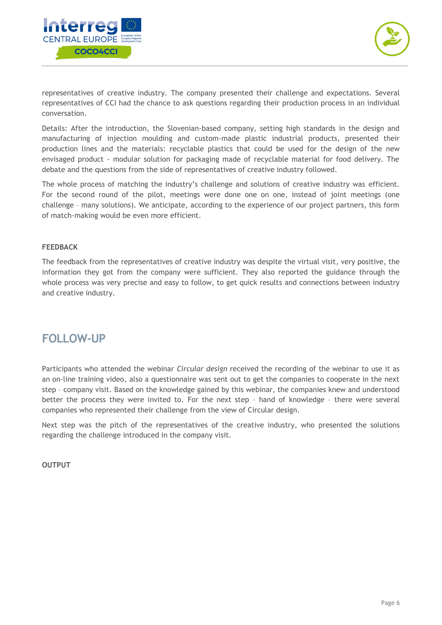



representatives of creative industry. The company presented their challenge and expectations. Several representatives of CCI had the chance to ask questions regarding their production process in an individual conversation.

Details: After the introduction, the Slovenian-based company, setting high standards in the design and manufacturing of injection moulding and custom-made plastic industrial products, presented their production lines and the materials: recyclable plastics that could be used for the design of the new envisaged product - modular solution for packaging made of recyclable material for food delivery. The debate and the questions from the side of representatives of creative industry followed.

The whole process of matching the industry's challenge and solutions of creative industry was efficient. For the second round of the pilot, meetings were done one on one, instead of joint meetings (one challenge – many solutions). We anticipate, according to the experience of our project partners, this form of match-making would be even more efficient.

#### **FEEDBACK**

The feedback from the representatives of creative industry was despite the virtual visit, very positive, the information they got from the company were sufficient. They also reported the guidance through the whole process was very precise and easy to follow, to get quick results and connections between industry and creative industry.

### **FOLLOW-UP**

Participants who attended the webinar *Circular design* received the recording of the webinar to use it as an on-line training video, also a questionnaire was sent out to get the companies to cooperate in the next step – company visit. Based on the knowledge gained by this webinar, the companies knew and understood better the process they were invited to. For the next step – hand of knowledge – there were several companies who represented their challenge from the view of Circular design.

Next step was the pitch of the representatives of the creative industry, who presented the solutions regarding the challenge introduced in the company visit.

**OUTPUT**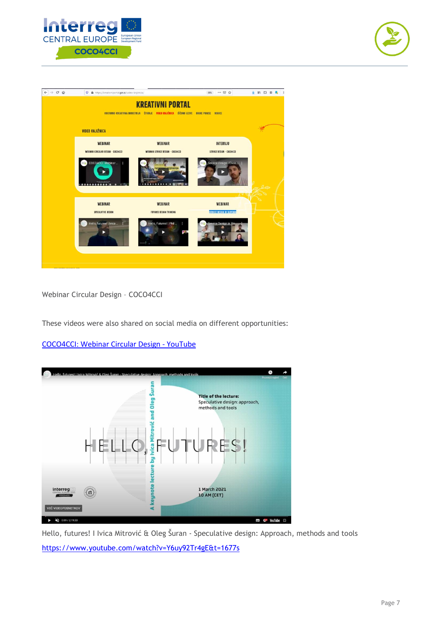





Webinar Circular Design – COCO4CCI

These videos were also shared on social media on different opportunities:

[COCO4CCI: Webinar Circular Design -](https://www.youtube.com/watch?v=95muezEc82g&feature=youtu.be) YouTube



Hello, futures! I Ivica Mitrović & Oleg Šuran - Speculative design: Approach, methods and tools <https://www.youtube.com/watch?v=Y6uy92Tr4gE&t=1677s>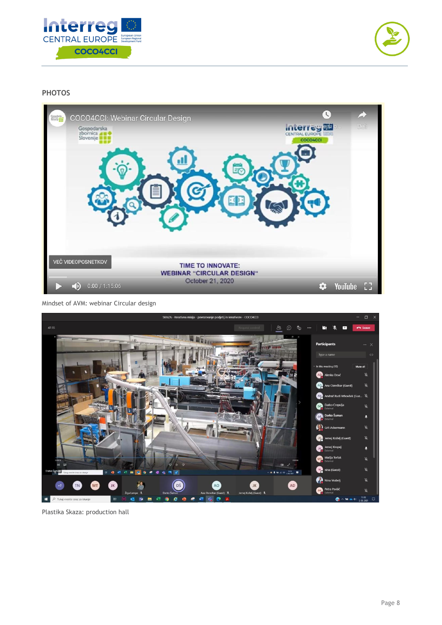



#### **PHOTOS**



Mindset of AVM: webinar Circular design



Plastika Skaza: production hall